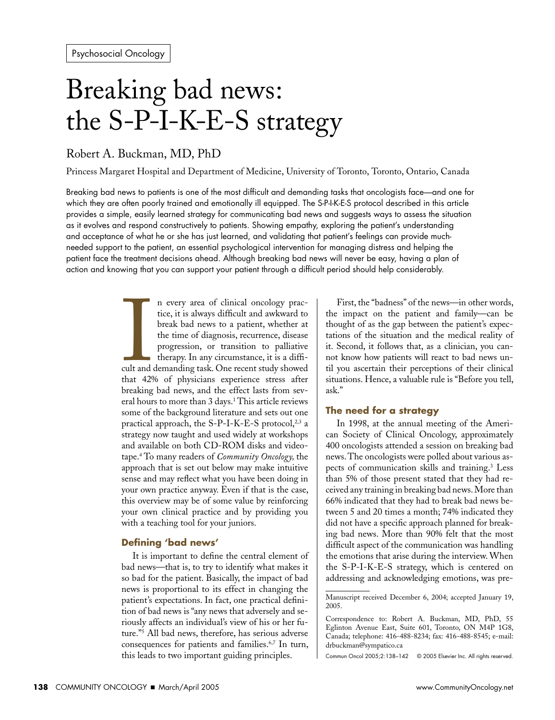# Breaking bad news: the S-P-I-K-E-S strategy

## Robert A. Buckman, MD, PhD

Princess Margaret Hospital and Department of Medicine, University of Toronto, Toronto, Ontario, Canada

Breaking bad news to patients is one of the most difficult and demanding tasks that oncologists face—and one for which they are often poorly trained and emotionally ill equipped. The S-P-I-K-E-S protocol described in this article provides a simple, easily learned strategy for communicating bad news and suggests ways to assess the situation as it evolves and respond constructively to patients. Showing empathy, exploring the patient's understanding and acceptance of what he or she has just learned, and validating that patient's feelings can provide muchneeded support to the patient, an essential psychological intervention for managing distress and helping the patient face the treatment decisions ahead. Although breaking bad news will never be easy, having a plan of action and knowing that you can support your patient through a difficult period should help considerably.

> n every area of clinical oncology practice, it is always difficult and awkward to break bad news to a patient, whether at the time of diagnosis, recurrence, disease progression, or transition to palliative therapy. In any circumstance, it is a difficult and demanding task. One recent study showed that 42% of physicians experience stress after breaking bad news, and the effect lasts from several hours to more than 3 days.<sup>1</sup> This article reviews some of the background literature and sets out one practical approach, the S-P-I-K-E-S protocol,<sup>2,3</sup> a strategy now taught and used widely at workshops and available on both CD-ROM disks and videotape.<sup>4</sup> To many readers of *Community Oncology*, the approach that is set out below may make intuitive sense and may reflect what you have been doing in your own practice anyway. Even if that is the case, this overview may be of some value by reinforcing your own clinical practice and by providing you with a teaching tool for your juniors.

#### Defining 'bad news'

It is important to define the central element of bad news-that is, to try to identify what makes it so bad for the patient. Basically, the impact of bad news is proportional to its effect in changing the patient's expectations. In fact, one practical definition of bad news is "any news that adversely and seriously affects an individual's view of his or her future."<sup>5</sup> All bad news, therefore, has serious adverse consequences for patients and families.<sup>6,7</sup> In turn, this leads to two important guiding principles.

First, the "badness" of the news-in other words, the impact on the patient and family-can be thought of as the gap between the patient's expectations of the situation and the medical reality of it. Second, it follows that, as a clinician, you cannot know how patients will react to bad news until you ascertain their perceptions of their clinical situations. Hence, a valuable rule is "Before you tell, ask."

#### The need for a strategy

In 1998, at the annual meeting of the American Society of Clinical Oncology, approximately 400 oncologists attended a session on breaking bad news. The oncologists were polled about various aspects of communication skills and training.<sup>3</sup> Less than 5% of those present stated that they had received any training in breaking bad news. More than 66% indicated that they had to break bad news between 5 and 20 times a month; 74% indicated they did not have a specific approach planned for breaking bad news. More than 90% felt that the most difficult aspect of the communication was handling the emotions that arise during the interview. When the S-P-I-K-E-S strategy, which is centered on addressing and acknowledging emotions, was pre-

Manuscript received December 6, 2004; accepted January 19, 2005.

Correspondence to: Robert A. Buckman, MD, PhD, 55 Eglinton Avenue East, Suite 601, Toronto, ON M4P 1G8, Canada; telephone: 416-488-8234; fax: 416-488-8545; e-mail: drbuckman@sympatico.ca

Commun Oncol 2005;2:138-142 © 2005 Elsevier Inc. All rights reserved.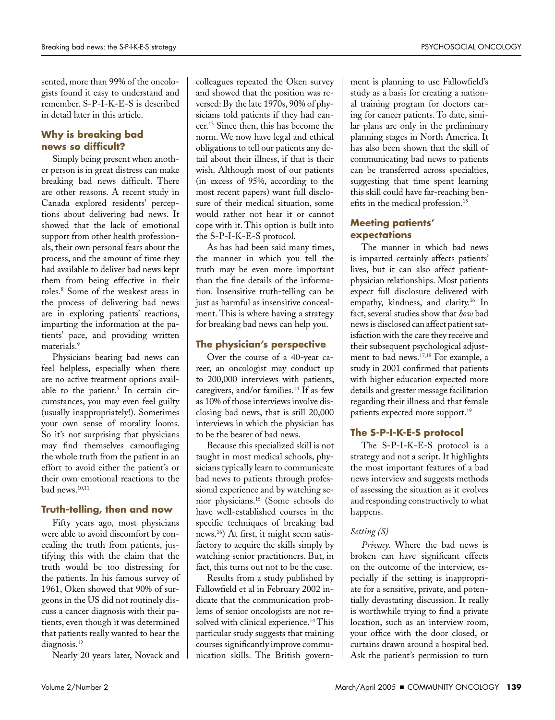sented, more than 99% of the oncologists found it easy to understand and remember. S-P-I-K-E-S is described in detail later in this article.

#### Why is breaking bad news so difficult?

Simply being present when another person is in great distress can make breaking bad news difficult. There are other reasons. A recent study in Canada explored residents' perceptions about delivering bad news. It showed that the lack of emotional support from other health professionals, their own personal fears about the process, and the amount of time they had available to deliver bad news kept them from being effective in their roles.<sup>8</sup> Some of the weakest areas in the process of delivering bad news are in exploring patients' reactions, imparting the information at the patients' pace, and providing written materials.<sup>9</sup>

Physicians bearing bad news can feel helpless, especially when there are no active treatment options available to the patient.<sup>5</sup> In certain circumstances, you may even feel guilty (usually inappropriately!). Sometimes your own sense of morality looms. So it's not surprising that physicians may find themselves camouflaging the whole truth from the patient in an effort to avoid either the patient's or their own emotional reactions to the bad news.<sup>10,11</sup>

#### Truth-telling, then and now

Fifty years ago, most physicians were able to avoid discomfort by concealing the truth from patients, justifying this with the claim that the truth would be too distressing for the patients. In his famous survey of 1961, Oken showed that 90% of surgeons in the US did not routinely discuss a cancer diagnosis with their patients, even though it was determined that patients really wanted to hear the  $diagnostic<sub>12</sub>$ 

Nearly 20 years later, Novack and

colleagues repeated the Oken survey and showed that the position was reversed: By the late 1970s, 90% of physicians told patients if they had cancer.<sup>13</sup> Since then, this has become the norm. We now have legal and ethical obligations to tell our patients any detail about their illness, if that is their wish. Although most of our patients (in excess of 95%, according to the most recent papers) want full disclosure of their medical situation, some would rather not hear it or cannot cope with it. This option is built into the S-P-I-K-E-S protocol.

As has had been said many times, the manner in which you tell the truth may be even more important than the fine details of the information. Insensitive truth-telling can be just as harmful as insensitive concealment. This is where having a strategy for breaking bad news can help you.

#### The physician's perspective

Over the course of a 40-year career, an oncologist may conduct up to 200,000 interviews with patients, caregivers, and/or families.<sup>14</sup> If as few as 10% of those interviews involve disclosing bad news, that is still 20,000 interviews in which the physician has to be the bearer of bad news.

Because this specialized skill is not taught in most medical schools, physicians typically learn to communicate bad news to patients through professional experience and by watching senior physicians.<sup>15</sup> (Some schools do have well-established courses in the specific techniques of breaking bad news.<sup>16</sup>) At first, it might seem satisfactory to acquire the skills simply by watching senior practitioners. But, in fact, this turns out not to be the case.

Results from a study published by Fallowfield et al in February 2002 indicate that the communication problems of senior oncologists are not resolved with clinical experience.<sup>14</sup> This particular study suggests that training courses significantly improve communication skills. The British govern-

ment is planning to use Fallowfield's study as a basis for creating a national training program for doctors caring for cancer patients. To date, similar plans are only in the preliminary planning stages in North America. It has also been shown that the skill of communicating bad news to patients can be transferred across specialties, suggesting that time spent learning this skill could have far-reaching benefits in the medical profession.<sup>15</sup>

### **Meeting patients'** expectations

The manner in which bad news is imparted certainly affects patients' lives, but it can also affect patientphysician relationships. Most patients expect full disclosure delivered with empathy, kindness, and clarity.<sup>16</sup> In fact, several studies show that how bad news is disclosed can affect patient satis faction with the care they receive and their subsequent psychological adjustment to bad news.<sup>17,18</sup> For example, a study in 2001 confirmed that patients with higher education expected more details and greater message facilitation regarding their illness and that female patients expected more support.<sup>19</sup>

## The S-P-I-K-E-S protocol

The S-P-I-K-E-S protocol is a strategy and not a script. It highlights the most important features of a bad news interview and suggests methods of assessing the situation as it evolves and responding constructively to what happens.

#### Setting (S)

Privacy. Where the bad news is broken can have significant effects on the outcome of the interview, especially if the setting is inappropriate for a sensitive, private, and potentially devastating discussion. It really is worthwhile trying to find a private location, such as an interview room, your office with the door closed, or curtains drawn around a hospital bed. Ask the patient's permission to turn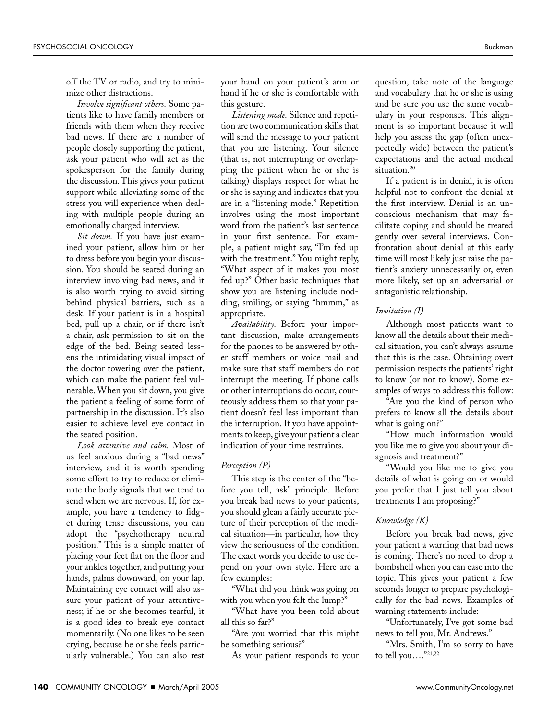off the TV or radio, and try to minimize other distractions.

Involve significant others. Some patients like to have family members or friends with them when they receive bad news. If there are a number of people closely supporting the patient, ask your patient who will act as the spokesperson for the family during the discussion. This gives your patient support while alleviating some of the stress you will experience when dealing with multiple people during an emotionally charged interview.

Sit down. If you have just examined your patient, allow him or her to dress before you begin your discussion. You should be seated during an interview involving bad news, and it is also worth trying to avoid sitting behind physical barriers, such as a desk. If your patient is in a hospital bed, pull up a chair, or if there isn't a chair, ask permission to sit on the edge of the bed. Being seated lessens the intimidating visual impact of the doctor towering over the patient, which can make the patient feel vulnerable. When you sit down, you give the patient a feeling of some form of partnership in the discussion. It's also easier to achieve level eye contact in the seated position.

Look attentive and calm. Most of us feel anxious during a "bad news" interview, and it is worth spending some effort to try to reduce or eliminate the body signals that we tend to send when we are nervous. If, for example, you have a tendency to fidget during tense discussions, you can adopt the "psychotherapy neutral position." This is a simple matter of placing your feet flat on the floor and your ankles together, and putting your hands, palms downward, on your lap. Maintaining eye contact will also assure your patient of your attentiveness; if he or she becomes tearful, it is a good idea to break eye contact momentarily. (No one likes to be seen crying, because he or she feels particularly vulnerable.) You can also rest

your hand on your patient's arm or hand if he or she is comfortable with this gesture.

Listening mode. Silence and repetition are two communication skills that will send the message to your patient that you are listening. Your silence (that is, not interrupting or overlapping the patient when he or she is talking) displays respect for what he or she is saying and indicates that you are in a "listening mode." Repetition involves using the most important word from the patient's last sentence in your first sentence. For example, a patient might say, "I'm fed up with the treatment." You might reply, "What aspect of it makes you most fed up?" Other basic techniques that show you are listening include nodding, smiling, or saying "hmmm," as appropriate.

Availability. Before your important discussion, make arrangements for the phones to be answered by other staff members or voice mail and make sure that staff members do not interrupt the meeting. If phone calls or other interruptions do occur, courteously address them so that your patient doesn't feel less important than the interruption. If you have appointments to keep, give your patient a clear indication of your time restraints.

#### Perception (P)

This step is the center of the "before you tell, ask" principle. Before you break bad news to your patients, you should glean a fairly accurate picture of their perception of the medical situation-in particular, how they view the seriousness of the condition. The exact words you decide to use depend on your own style. Here are a few examples:

"What did you think was going on with you when you felt the lump?"

"What have you been told about all this so far?"

"Are you worried that this might be something serious?"

As your patient responds to your

question, take note of the language and vocabulary that he or she is using and be sure you use the same vocabulary in your responses. This alignment is so important because it will help you assess the gap (often unexpectedly wide) between the patient's expectations and the actual medical situation.<sup>20</sup>

If a patient is in denial, it is often helpful not to confront the denial at the first interview. Denial is an unconscious mechanism that may facilitate coping and should be treated gently over several interviews. Confrontation about denial at this early time will most likely just raise the patient's anxiety unnecessarily or, even more likely, set up an adversarial or antagonistic relationship.

#### Invitation (I)

Although most patients want to know all the details about their medical situation, you can't always assume that this is the case. Obtaining overt permission respects the patients' right to know (or not to know). Some examples of ways to address this follow:

"Are you the kind of person who prefers to know all the details about what is going on?"

"How much information would you like me to give you about your diagnosis and treatment?"

"Would you like me to give you details of what is going on or would you prefer that I just tell you about treatments I am proposing?"

#### Knowledge (K)

Before you break bad news, give your patient a warning that bad news is coming. There's no need to drop a bombshell when you can ease into the topic. This gives your patient a few seconds longer to prepare psychologically for the bad news. Examples of warning statements include:

"Unfortunately, I've got some bad news to tell you, Mr. Andrews."

"Mrs. Smith, I'm so sorry to have to tell you...." $^{21,22}$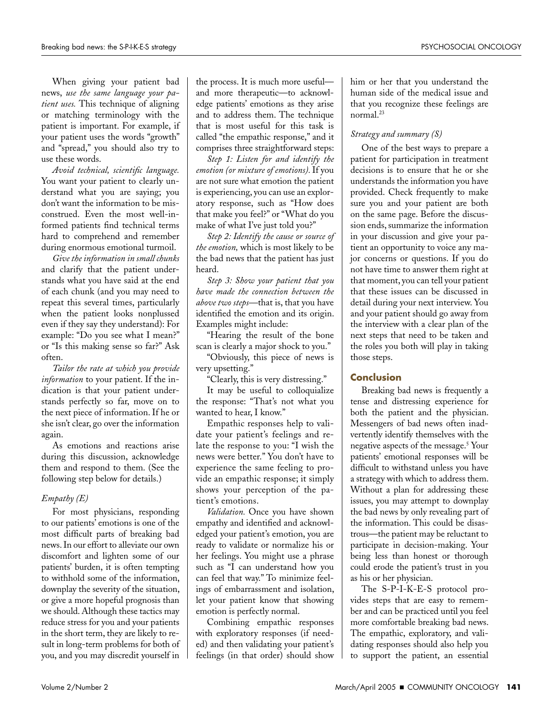When giving your patient bad news, use the same language your patient uses. This technique of aligning or matching terminology with the patient is important. For example, if your patient uses the words "growth" and "spread," you should also try to use these words.

Avoid technical, scientific language. You want your patient to clearly understand what you are saying; you don't want the information to be misconstrued. Even the most well-informed patients find technical terms hard to comprehend and remember during enormous emotional turmoil.

Give the information in small chunks and clarify that the patient understands what you have said at the end of each chunk (and you may need to repeat this several times, particularly when the patient looks nonplussed even if they say they understand): For example: "Do you see what I mean?" or "Is this making sense so far?" Ask often.

Tailor the rate at which you provide information to your patient. If the indication is that your patient understands perfectly so far, move on to the next piece of information. If he or she isn't clear, go over the information again.

As emotions and reactions arise during this discussion, acknowledge them and respond to them. (See the following step below for details.)

#### $Empathy(E)$

For most physicians, responding to our patients' emotions is one of the most difficult parts of breaking bad news. In our effort to alleviate our own discomfort and lighten some of our patients' burden, it is often tempting to withhold some of the information, downplay the severity of the situation, or give a more hopeful prognosis than we should. Although these tactics may reduce stress for you and your patients in the short term, they are likely to result in long-term problems for both of you, and you may discredit yourself in

the process. It is much more useful and more therapeutic-to acknowledge patients' emotions as they arise and to address them. The technique that is most useful for this task is called "the empathic response," and it comprises three straightforward steps:

Step 1: Listen for and identify the emotion (or mixture of emotions). If you are not sure what emotion the patient is experiencing, you can use an exploratory response, such as "How does that make you feel?" or "What do you make of what I've just told you?"

Step 2: Identify the cause or source of the emotion, which is most likely to be the bad news that the patient has just heard.

Step 3: Show your patient that you have made the connection between the above two steps-that is, that you have identified the emotion and its origin. Examples might include:

"Hearing the result of the bone scan is clearly a major shock to you."

"Obviously, this piece of news is very upsetting."

"Clearly, this is very distressing."

It may be useful to colloquialize the response: "That's not what you wanted to hear, I know."

Empathic responses help to validate your patient's feelings and relate the response to you: "I wish the news were better." You don't have to experience the same feeling to provide an empathic response; it simply shows your perception of the patient's emotions.

Validation. Once you have shown empathy and identified and acknowledged your patient's emotion, you are ready to validate or normalize his or her feelings. You might use a phrase such as "I can understand how you can feel that way." To minimize feelings of embarrassment and isolation, let your patient know that showing emotion is perfectly normal.

Combining empathic responses with exploratory responses (if needed) and then validating your patient's feelings (in that order) should show him or her that you understand the human side of the medical issue and that you recognize these feelings are normal.<sup>23</sup>

#### Strategy and summary (S)

One of the best ways to prepare a patient for participation in treatment decisions is to ensure that he or she understands the information you have provided. Check frequently to make sure you and your patient are both on the same page. Before the discussion ends, summarize the information in your discussion and give your patient an opportunity to voice any major concerns or questions. If you do not have time to answer them right at that moment, you can tell your patient that these issues can be discussed in detail during your next interview. You and your patient should go away from the interview with a clear plan of the next steps that need to be taken and the roles you both will play in taking those steps.

#### **Conclusion**

Breaking bad news is frequently a tense and distressing experience for both the patient and the physician. Messengers of bad news often inadvertently identify themselves with the negative aspects of the message.<sup>5</sup> Your patients' emotional responses will be difficult to withstand unless you have a strategy with which to address them. Without a plan for addressing these issues, you may attempt to downplay the bad news by only revealing part of the information. This could be disastrous—the patient may be reluctant to participate in decision-making. Your being less than honest or thorough could erode the patient's trust in you as his or her physician.

The S-P-I-K-E-S protocol provides steps that are easy to remember and can be practiced until you feel more comfortable breaking bad news. The empathic, exploratory, and validating responses should also help you to support the patient, an essential